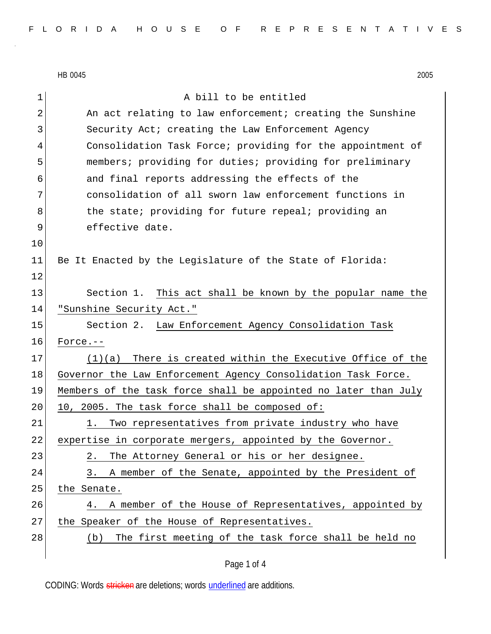HB 0045 2005 1 a bill to be entitled 2 An act relating to law enforcement; creating the Sunshine 3 Security Act; creating the Law Enforcement Agency 4 Consolidation Task Force; providing for the appointment of 5 members; providing for duties; providing for preliminary 6 and final reports addressing the effects of the 7 consolidation of all sworn law enforcement functions in 8 b 8 the state; providing for future repeal; providing an 9 effective date. 10 11 Be It Enacted by the Legislature of the State of Florida: 12 13 Section 1. This act shall be known by the popular name the 14 "Sunshine Security Act." 15 Section 2. Law Enforcement Agency Consolidation Task 16 Force.-- 17 (1)(a) There is created within the Executive Office of the 18 Governor the Law Enforcement Agency Consolidation Task Force. 19 Members of the task force shall be appointed no later than July  $20$  10, 2005. The task force shall be composed of: 21 1. Two representatives from private industry who have 22 expertise in corporate mergers, appointed by the Governor. 23 2. The Attorney General or his or her designee. 24 3. A member of the Senate, appointed by the President of 25 the Senate. 26 4. A member of the House of Representatives, appointed by 27 the Speaker of the House of Representatives. 28 (b) The first meeting of the task force shall be held no

CODING: Words stricken are deletions; words underlined are additions.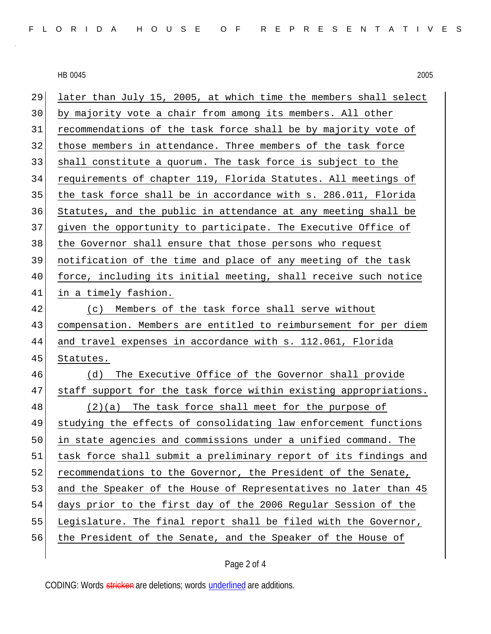HB 0045 2005

| 29 | later than July 15, 2005, at which time the members shall select |
|----|------------------------------------------------------------------|
| 30 | by majority vote a chair from among its members. All other       |
| 31 | recommendations of the task force shall be by majority vote of   |
| 32 | those members in attendance. Three members of the task force     |
| 33 | shall constitute a quorum. The task force is subject to the      |
| 34 | requirements of chapter 119, Florida Statutes. All meetings of   |
| 35 | the task force shall be in accordance with s. 286.011, Florida   |
| 36 | Statutes, and the public in attendance at any meeting shall be   |
| 37 | given the opportunity to participate. The Executive Office of    |
| 38 | the Governor shall ensure that those persons who request         |
| 39 | notification of the time and place of any meeting of the task    |
| 40 | force, including its initial meeting, shall receive such notice  |
| 41 | in a timely fashion.                                             |
| 42 | (c) Members of the task force shall serve without                |
| 43 | compensation. Members are entitled to reimbursement for per diem |
| 44 | and travel expenses in accordance with s. 112.061, Florida       |
| 45 | Statutes.                                                        |
| 46 | The Executive Office of the Governor shall provide<br>(d)        |
| 47 | staff support for the task force within existing appropriations. |
| 48 | $(2)(a)$ The task force shall meet for the purpose of            |
| 49 | studying the effects of consolidating law enforcement functions  |
| 50 | in state agencies and commissions under a unified command. The   |
| 51 | task force shall submit a preliminary report of its findings and |
| 52 | recommendations to the Governor, the President of the Senate,    |
| 53 | and the Speaker of the House of Representatives no later than 45 |
| 54 | days prior to the first day of the 2006 Regular Session of the   |
| 55 | Legislature. The final report shall be filed with the Governor,  |
| 56 | the President of the Senate, and the Speaker of the House of     |
|    |                                                                  |

CODING: Words stricken are deletions; words underlined are additions.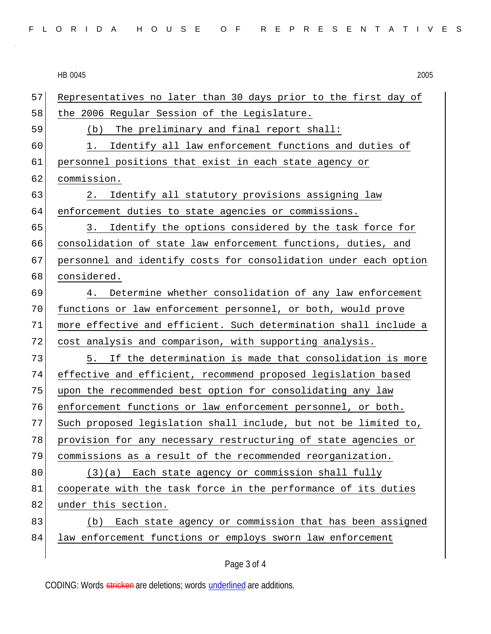HB 0045 2005 57 Representatives no later than 30 days prior to the first day of 58 the 2006 Regular Session of the Legislature. 59 (b) The preliminary and final report shall: 60 1. Identify all law enforcement functions and duties of 61 personnel positions that exist in each state agency or 62 commission. 63 2. Identify all statutory provisions assigning law 64 enforcement duties to state agencies or commissions. 65 3. Identify the options considered by the task force for 66 consolidation of state law enforcement functions, duties, and 67 personnel and identify costs for consolidation under each option 68 considered. 69 4. Determine whether consolidation of any law enforcement 70 functions or law enforcement personnel, or both, would prove 71 more effective and efficient. Such determination shall include a 72 cost analysis and comparison, with supporting analysis. 73 5. If the determination is made that consolidation is more 74 effective and efficient, recommend proposed legislation based 75 | upon the recommended best option for consolidating any law 76 enforcement functions or law enforcement personnel, or both. 77 Such proposed legislation shall include, but not be limited to, 78 provision for any necessary restructuring of state agencies or 79 commissions as a result of the recommended reorganization.  $80$  (3)(a) Each state agency or commission shall fully 81 cooperate with the task force in the performance of its duties 82 under this section. 83 (b) Each state agency or commission that has been assigned 84 law enforcement functions or employs sworn law enforcement

Page 3 of 4

CODING: Words stricken are deletions; words underlined are additions.